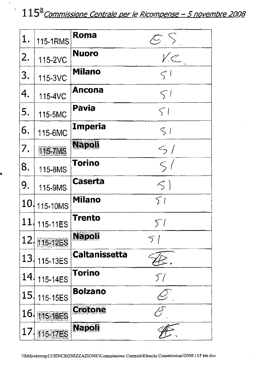# 115<sup>ª</sup> Commissione Centrale per le Ricompense - 5 novembre 2008

 $\mathcal{L}$ 

E

 $\ddot{\phantom{0}}$ 

| 1.              | 115-1RMS | Roma           | $\mathcal{E}$ S |
|-----------------|----------|----------------|-----------------|
| 2.              | 115-2VC  | <b>Nuoro</b>   | $V_{\cdot}$     |
| 3.              | 115-3VC  | <b>Milano</b>  | $\varsigma$ 1   |
| 4.              | 115-4VC  | Ancona         | $\zeta$ /       |
| 5.              | 115-5MC  | Pavia          | $\subset$       |
| 6.              | 115-6MC  | Imperia        | S               |
| 7.              | 116-7MS  | Napoli         | $\leq$ /        |
| 8.              | 115-8MS  | <b>Torino</b>  | $\leq$          |
| 9.              | 115-9MS  | Caserta        | $\leq$          |
| 10 <sub>1</sub> | 115-10MS | <b>Milano</b>  | 51              |
| 11              | 115-11ES | <b>Trento</b>  | $5^{\circ}$     |
| 12              | 115-12ES | Napoli         | $\mathcal{L}$   |
| 13.             | 115-13ES | Caltanissetta  |                 |
| 14.             | 115-14ES | Torino         | 57              |
| 15 <sub>l</sub> | 115-15ES | <b>Bolzano</b> |                 |
| 16              | 115-16ES | <b>Grotone</b> |                 |
| 17              | 115-17ES | <b>Napoli</b>  |                 |

 $\Box$ 

÷,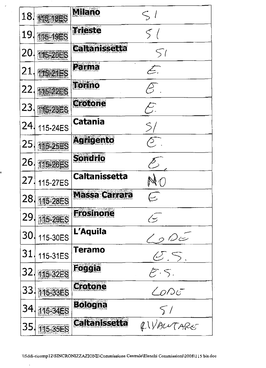| Milano                                    |                        |
|-------------------------------------------|------------------------|
| 18<br>164658                              | $\leq$                 |
| Trieste<br>19<br>115-19ES                 | $\zeta$ (              |
| Caltanissetta<br>20<br><b>115-20ES</b>    | $\varsigma$            |
| Echina<br>21<br><b>215-21ES</b>           | $\mathcal{L}$          |
| Torino<br>22<br>116-22ES                  |                        |
| Grotone<br>23<br>116-2356                 | $\sum_{i=1}^{n}$       |
| Catania<br>24<br>115-24ES                 | $\mathcal{S}_I$        |
| <b>Agrigento</b><br>25<br><b>116-25ES</b> | $\mathcal{S}$          |
| Sondrio<br>26<br><b>115-26ES</b>          |                        |
| <b>Caltanissetta</b><br>27<br>115-27ES    |                        |
| <b>Massa Carrara</b><br>28<br>115-28ES    |                        |
| <b>Frosinone</b><br>29.<br>115-29ES       |                        |
| L'Aquila<br>30.<br>115-30ES               | $\bigcirc$ DE          |
| Teramo<br>31<br>115-31ES                  | $\mathcal{C}$ . S.     |
| <b>Foggla</b><br>32<br>115-32ES           | E.5.                   |
| <b>Crotone</b><br>33.<br>115-33ES         | $\angle O \triangle E$ |
| <b>Bologna</b><br>34.<br>116-34ES         | 5/                     |
| <b>Caltanissetta</b><br>35<br>115-35ES    | QUALUTARE              |

 $\label{eq:2} \begin{split} \mathcal{L}_{\text{max}}^{(1)}(\mathcal{L}_{\text{max}}^{(1)}) = \mathcal{L}_{\text{max}}^{(1)}(\mathcal{L}_{\text{max}}^{(1)}) = \mathcal{L}_{\text{max}}^{(1)}(\mathcal{L}_{\text{max}}^{(1)}) = \mathcal{L}_{\text{max}}^{(1)}(\mathcal{L}_{\text{max}}^{(1)}) = \mathcal{L}_{\text{max}}^{(1)}(\mathcal{L}_{\text{max}}^{(1)}) = \mathcal{L}_{\text{max}}^{(1)}(\mathcal{L}_{\text{max}}^{(1)}) = \mathcal{L}_{\text{max}}^{(1)}(\mathcal{L}_{\$ 

Ţ.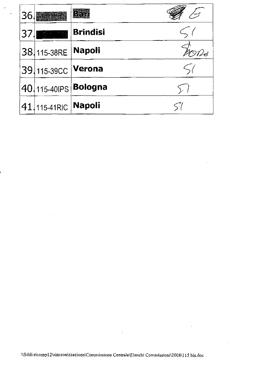| 36 |                           |                      |  |
|----|---------------------------|----------------------|--|
| 37 | <b>1000 年度</b>            | <b>Brindisi</b>      |  |
|    | 38 115-38RE Napoli        |                      |  |
|    | 39 115-39CC <b>Verona</b> |                      |  |
|    |                           | 40 115-40 PS Bologna |  |
|    | 41. 115-41RIC Napoli      |                      |  |

 $\sim 30$ 

 $\frac{1}{2} \left( \frac{1}{2} \right)$ 

 $\label{eq:2.1} \frac{1}{2} \sum_{i=1}^n \frac{1}{2} \sum_{j=1}^n \frac{1}{2} \sum_{j=1}^n \frac{1}{2} \sum_{j=1}^n \frac{1}{2} \sum_{j=1}^n \frac{1}{2} \sum_{j=1}^n \frac{1}{2} \sum_{j=1}^n \frac{1}{2} \sum_{j=1}^n \frac{1}{2} \sum_{j=1}^n \frac{1}{2} \sum_{j=1}^n \frac{1}{2} \sum_{j=1}^n \frac{1}{2} \sum_{j=1}^n \frac{1}{2} \sum_{j=1}^n \frac{$ 

 $\mathcal{L}^{\text{max}}_{\text{max}}$  ,  $\mathcal{L}^{\text{max}}_{\text{max}}$ 

 $\sim$ 

 $\label{eq:2.1} \frac{1}{\sqrt{2}}\left(\frac{1}{\sqrt{2}}\right)^2\left(\frac{1}{\sqrt{2}}\right)^2\left(\frac{1}{\sqrt{2}}\right)^2\left(\frac{1}{\sqrt{2}}\right)^2\left(\frac{1}{\sqrt{2}}\right)^2\left(\frac{1}{\sqrt{2}}\right)^2\left(\frac{1}{\sqrt{2}}\right)^2\left(\frac{1}{\sqrt{2}}\right)^2\left(\frac{1}{\sqrt{2}}\right)^2\left(\frac{1}{\sqrt{2}}\right)^2\left(\frac{1}{\sqrt{2}}\right)^2\left(\frac{1}{\sqrt{2}}\right)^2\left(\frac{1}{\sqrt$ 

 $\sim$ 

 $\mathcal{L}_{\mathcal{A}}$ 

 $\mathcal{L}(\mathcal{A})$  and  $\mathcal{L}(\mathcal{A})$  and  $\mathcal{L}(\mathcal{A})$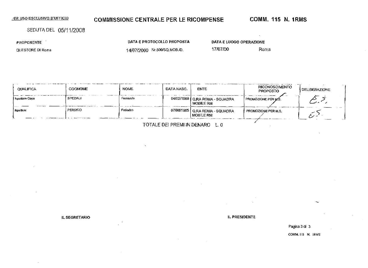# **COMMISSIONE CENTRALE PER LE RICOMPENSE COMM- 115 N. 1RMS**

DATA E PROTOCOLLO PROPOSTA

SEDUTA DEL 05/11/2008

PROPONENTE '

QUESTORE DI Roma

14/07/2000 Nr.SOO/SQ.MOB./D.

DATA E LUOGO OPERAZIONE

17/07/00 Roma

| QUALIFICA        | COGNOME  | <b>NOME</b> | DATA NASC. | <b>ENTE</b>                                          | <b>RICONOSCIMENTO</b><br><b>PROPOSTO</b> | <b>I DELIBERAZIONE</b> |
|------------------|----------|-------------|------------|------------------------------------------------------|------------------------------------------|------------------------|
| I Ispettore Capo | SPEZIALI | Fernando    |            | 04/02/1968   Q.RA ROMA - SQUADRA<br><b>MOBILE RM</b> | PRONOZIONE PER MS.                       |                        |
| <b>Iscettore</b> | PERSICO  | Federico    |            | 07/08/1965   Q.RA ROMA - SQUADRA<br>MOBILE RM        | PROMOZIONE PER M.S.                      |                        |

TOTALE DEI PREMI IN DENARO L. 0

IL SEGRETARIO IL PRESIDENTE

Pagina 3 di 3

COMM. IIS N. IRMS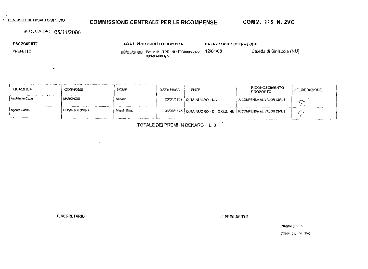## **COMMISSIONE CENTRALE PER LE RICOMPENSE**

COMM. 115 N. 2VC

# SEDUTA DEL 05/11/2008

 $\sim$ 

PROPONENTE

**PREFETTO** 

DATA E PROTOCOLLO PROPOSTA

DATA E LUOGO OPERAZIONE

12/01/08 08/03/2008 Protn.M\_ITPR\_NUUTG00063022<br>008-03-08Gab.

Caletta di Siniscola (NU)

| __<br><b>QUALIFICA</b> | <b>COGNOME</b>       | <b>NOME</b>  | DATA NASC.           | ENTE                                                                 | RICONOSCIMENTO<br><b>PROPOSTO</b> | DELIBERAZIONE |
|------------------------|----------------------|--------------|----------------------|----------------------------------------------------------------------|-----------------------------------|---------------|
| Assistente Capo        | MARONGIU             | Adriano      | $\sim$ $\sim$ $\sim$ | 23/01/1967   Q.RA NUORO - NU                                         | I RICOMPENSA AL VALOR CIVILE.     |               |
| Agente Scelto          | <b>DI BARTOLOMEO</b> | Massimiilano |                      | 06/06/1975   Q.RA NUORO - D.I.G.O.S. NU   RICOMPENSA AL VALOR CIVILE |                                   |               |

TOTALE DEI PREMI IN DENARO L.O

**IL SEGRETARIO** 

**IL PRESIDENTE** 

Pagina 3 di 3 COMM 115 N. 2VC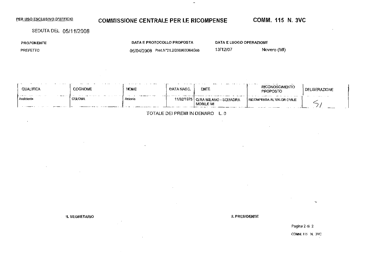## **COMMISSIONE CENTRALE PER LE RICOMPENSE**

COMM. 115 N. 3VC

SEDUTA DEL 05/11/2008

**PROPONENTE** 

PREFETTO

DATA E PROTOCOLLO PROPOSTA 05/04/2008 Prot.Nº21.2/200800364Gab

 $\lambda$ 

DATA E LUOGO OPERAZIONE

13/12/07

Novero (MI)

| QUALIFICA                                 | COGNOME       | <b>NOME</b> | DATA NASC  | ente                                      | $\sim$<br><b>RICONOSCIMENTO</b><br><b>PROPOSTO</b> | .IBERAZIONE<br>DE |
|-------------------------------------------|---------------|-------------|------------|-------------------------------------------|----------------------------------------------------|-------------------|
| <b>Service</b> State<br>.<br>l Assistente | <b>CULOMA</b> | Antonia     | 11/02/1975 | Q RA MILANO - SQUADRA<br><b>MOBILE MI</b> | RICOMPENSA AL VALOR CIVILE                         |                   |

TOTALE DEI PREMI IN DENARO L. 0

 $\sim$ 

**IL SEGRETARIO** 

**ILPRESIDENTE** 

Pagina 2 di 2

COMM. 115 N. 3VC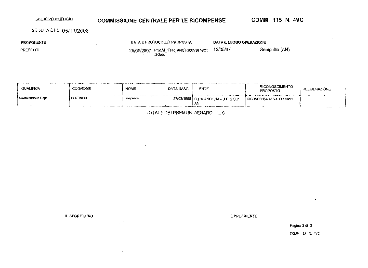# **ELUSIVO D'UFFICIO** COMMISSIONE CENTRALE PER LE RICOMPENSE COMM. 115 N. 4VC

#### SEDUTA DEL 05/11/2008

PROPONENTE

DATA E PROTOCOLLO PROPOSTA

 $\blacksquare$ 

 $\sim 10$ 

DATA E LUOGO OPERAZIONE

PREFETTO

25/09/2007 Prot.MJTPR ANUTG0051874/2 ì .2Gab. 12/05/07 Senigallia (AN)

 $\equiv$ 

| the contract of the contract of<br>$-1$<br>QUALIFICA | <b>COGNOME</b>   | NOME      | <b>DATA NASC.</b> | <b>ENTE</b>                           | <b>RICONOSCIMENTO</b><br>PROPOSTO | DELIBERAZIONE             |
|------------------------------------------------------|------------------|-----------|-------------------|---------------------------------------|-----------------------------------|---------------------------|
| l Sovriniendente Capo                                | <b>FESTINESE</b> | Francesco |                   | 27/03/1958   Q.RA ANCONA - U.P.G.S.P. | I RICOMPENSA AL VALOR CIVILE      | $\sim$ $\sim$<br>$\cdots$ |
|                                                      |                  |           |                   | AN                                    |                                   |                           |

TOTALE DEI PREMI IN DENARO L. 0

 $\sim$ 

IL SEGRETARIO IL PRESIDENTE

Pagina 3 di 3 COMM. 115 N. 4VC

 $\sim$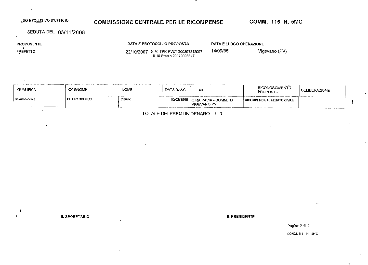#### **30 ESCLUSIVO D'UFFICIO**

### **COMMISSIONE CENTRALE PER LE RICOMPENSE**

COMM. 115 N. 5MC

SEDUTA DEL 05/11/2008

 $\mathbf{r} \in \mathcal{F}$ 

PROPONENTE  $\mathbf{J}$ PREFETTO

 $\bullet$ 

DATA E PROTOCOLLO PROPOSTA

 $\ddot{\phantom{a}}$ 

DATA E LUOGO OPERAZIONE

14/09/95

22/10/2007 N.M ITPR PVUTG00397212007-10-16 Proc.n.20070008847

Vigevano (PV)

| <b>QUALIFICA</b> | <b>COGNOME</b>      | .<br>NOME | DATA NASC. | ENTE                                                    | <b>RICONOSCIMENTO</b><br><b>PROPOSTO</b> | DELIBERAZIONE |
|------------------|---------------------|-----------|------------|---------------------------------------------------------|------------------------------------------|---------------|
| Sovrintendente   | <b>DE FRANCESCO</b> | Claudio   |            | 10/03/1966   Q.RA PAVIA - COMM.TO<br><b>VIGEVANO PV</b> | RICOMPENSA AL MERITO CIVILE              | . . <b>.</b>  |

TOTALE DEI PREMI IN DENARO L. 0

IL SEGRETARIO

#### **IL PRESIDENTE**

Pagina 2 di 2 COMM 115 N. SMC

 $\ddot{\phantom{1}}$ 

 $\mathbf{r}_{\infty}$ 

 $\bullet$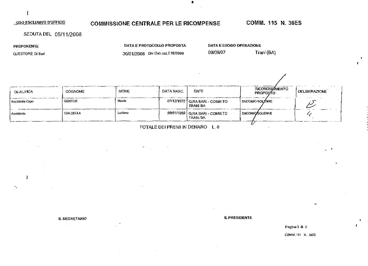### **COMMISSIONE CENTRALE PER LE RICOMPENSE**

COMM. 115 N. 36ES

◢

SEDUTA DEL 05/11/2008

PROPONENTE

 $\mathbf{I}$ 

٠,

QUESTORE DI Bari

DATA E PROTOCOLLO PROPOSTA 30/01/2008 Div.Gab.cat.E1B/2008

**DATA E LUOGO OPERAZIONE** 

09/09/07

Trani (BA)

| <b>OUALIFICA</b> | <b>COGNOME</b> | <b>NOME</b> | DATA NASC. | <b>ENTE</b>                                        | RICONOSCIMENTO<br><b>PROPOSTO</b> | i DELIBERAZIONE |
|------------------|----------------|-------------|------------|----------------------------------------------------|-----------------------------------|-----------------|
| Assistente Capo  | <b>GENTILE</b> | Nuoda       |            | 07/12/1972   Q.RA BARI - COMM.TO<br><b>TRAN BA</b> | ENCOMIO SOLENNE                   |                 |
| Assistente       | CIALDELLA      | Luclano     |            | 09/01/1969   Q.RA BARI - COMM.TO<br>TRANI BA       | I ENCOMIO SOLENNE                 |                 |
|                  |                |             |            |                                                    |                                   |                 |

 $\blacksquare$ 

TOTALE DEI PREMI IN DENARO L. 0

IL SEGRETARIO

#### **IL PRESIDENTE**

Pagina 2 di 2

COMM. IES N. 36ES

 $\bullet$ 

-1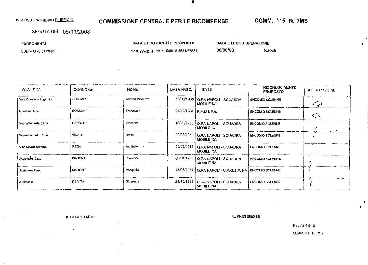#### COMMISSIONE CENTRALE PER LE RICOMPENSE

 $\bullet$ 

# **COMM. 115 N. 7MS**

 $\epsilon$ 

SEDUTA DEL 05/11/2008

PROPONENTE

QUESTORE DI Napoli

DATA E PROTOCOLLO PROPOSTA

14/07/2008 Nr.2.19/6918-3681/27834

DATA E LUOGO OPERAZIONE 06/06/08

Napoli

| QUALIFICA              | <b>COGNOME</b> | <b>NOME</b>     | DATA NASC. | <b>ENTE</b>                                                | <b>RICONOSCIMENTO</b><br><b>PROPOSTO</b> | <b>DELIBERAZIONE</b> |
|------------------------|----------------|-----------------|------------|------------------------------------------------------------|------------------------------------------|----------------------|
| Vice Questore Aggeunto | <b>CURTALE</b> | Andrea Vincenzo | 16/03/1968 | Q.RA NAPOLI - SQUADRA<br><b>MOBILE NA</b>                  | <b>ENCOMIO SOLENNE</b>                   |                      |
| Ispakare Capo          | <b>BOSSONE</b> | Francesco       | 21/12/1964 | R.A.M.I. RM                                                | ENCOMIO SOLENNE                          |                      |
| Sovrintendente Capo    | <b>CERBONE</b> | Vincenzo        |            | 16/10/1956   Q.RA NAPOLI - SQUADRA<br>MOBILE NA            | <b>ENCOMIC SOLENNE</b>                   |                      |
| Soviniendente Capo     | <b>VICALE</b>  | Nicola          |            | 29/03/1959   Q.RA NAPOLI - SQUADRA<br><b>MOBILE NA</b>     | <b>ENCOMIO SOLENNE</b>                   |                      |
| Vice Sowinlendente     | <b>REGA</b>    | Annibale        | 06/03/1975 | Q.RA NAPOLI - SQUADRA<br><b>MOBILE NA</b>                  | <b>ENCOMIO SOLENNE</b>                   |                      |
| Assistente Capo        | <b>BROGNA</b>  | Flaminio        |            | 03/01/1963   Q.RA NAPOLI - SQUADRA<br><b>MOBILE NA</b>     | <b>ENCOMIC SOLENNE</b>                   |                      |
| Assistente Capo        | <b>MARONE</b>  | Pasquale        |            | 14/05/1967   Q.RA NAPOLI - U.P.G.S.P. NA   ENCOMIO SOLENNE |                                          |                      |
| Assistente             | <b>DE VITA</b> | Gluseppe        |            | 21/10/1966   Q.RA NAPOLI - SQUADRA<br>MOBILE NA            | <b>ENCOMIO SOLENNE</b>                   |                      |

**IL SEGRETARIO** 

**IL PRESIDENTE** 

Pagina 4 di 5

COMM. 115 N. 7MS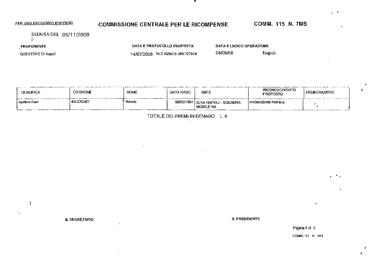# COMMISSIONE CENTRALE PER LE RICOMPENSE COMM. 115 N. 7MS

SEDUTA DEL 05/11/2008 I

PROPONENTE

 $\mathcal{C}_\mathcal{A}$ 

QUESTORE DI Napoli

DATA E PROTOCOLLO PROPOSTA

14/07/2008 Nr.2.19/6918-3681/2?B34

DATA E LUOGO OPERAZIONE 06/06/08 Napoli

| QUALIFICA        | <b>COGNOME</b>   | <b>NOME</b> | DATA NASC. | <b>ENTE</b>                                       | RICONOSCIMENTO<br><b>PROPOSTO</b> | <b>DELIBERAZIONE</b> |
|------------------|------------------|-------------|------------|---------------------------------------------------|-----------------------------------|----------------------|
| i Ispettore Capo | <b>BACCICHET</b> | Roberta     |            | 09/02/1954   Q.RA NAPOLI - SQUADRA<br>Í MOBILE NA | I PROMOZIONE PER M.S.             |                      |

TOTALE DEI PREMI IN DENARO L. 0

IL SEGRETARIO IL PRESIDENTE

Pagina 5 di 5 COMM. 115 H 7MS  $\mathbf{L}_{\mathrm{eff}}$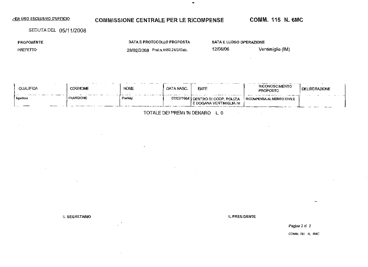# COMMISSIONE CENTRALE PER LE RICOMPENSE COMM. 115 N. 6MC

SEDUTA DEL 05/11/2008

PROPONENTE

PREFETTO

DATA E PROTOCOLLO PROPOSTA 28/02/2008 Prot.n.1450.21/2/Gab.

DATA E LUOGO OPERAZIONE

12/08/06 Ventimiglia (IM)

| <b>QUALIFICA</b> | $\cdots$<br><b>COGNOME</b> | and the second second second<br><b>NOME</b> | DATA NASC. | $\cdots$ . And $\cdots$<br>1.122<br><b>ENTE</b>                 | <b>RICONDSCIMENTO</b><br><b>PROPOSTO</b> | DELIBERAZIONE |
|------------------|----------------------------|---------------------------------------------|------------|-----------------------------------------------------------------|------------------------------------------|---------------|
| l Ispellare      | <b>FRANCIONE</b>           | Pierwici                                    |            | 07/07/1964   CENTRO DI COOP, POLIZIA<br>E DOGANA VENTIMIGLIA IM | RICOMPENSA AL MERITO CIVILE              |               |

TOTALE DE! PREMI fN DEWARO L. 0

 $\blacksquare$ 

IL SEGRETARIO IL PRESIDENTE

Pagina 2 di 2

COMM. 115 N. 6MC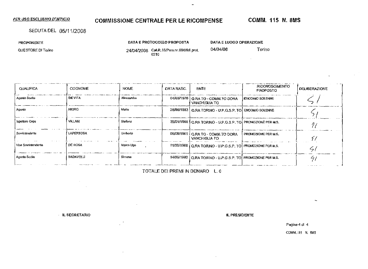# **COMMISSIONE CENTRALE PER LE RICOMPENSE**

 $\blacksquare$ 

### SEDUTA DEL 05/11/2008

PROPONENTE

QUESTORE DI Torino

DATA E PROTOCOLLO PROPOSTA

DATA E LUOGO OPERAZIONE

04/04/08

24/04/2008 CaLR.15/Pers.nr.69/08dl prot. 6210

Torino  $\sim$ 

| <b>OUALIFICA</b>    | COGNOME          | <b>NOME</b>    | DATA NASC. | ENTE                                                         | RICONOSCIMENTO<br><b>PROPOSTO</b> | DELIBERAZIONE |
|---------------------|------------------|----------------|------------|--------------------------------------------------------------|-----------------------------------|---------------|
| Agente Scello       | <b>DE VITA</b>   | Alessandro     |            | 04/03/1976   Q.RA TO - COMM.TO DORA<br><b>VANCHIGLIA TO</b>  | ENCOMIO SOLENNE                   |               |
| Agente              | NIGRO            | Mario          |            | 28/08/1983   Q.RA TORINO - U.P.G.S.P. TO ENCOMIO SOLENNE     |                                   |               |
| Ispellore Capa      | VILLANI          | Stefano        |            | 25/01/1966   Q.RA TORINO - U.P.G.S.P. TO PROMOZIONE PER M.S. |                                   |               |
| Sovrinlendente      | <b>LAPERTOSA</b> | <b>Umberto</b> |            | 06/08/1961   Q.RA TO - COMM.TO DORA<br>VANCHIGLIA TO         | <b>PROMOZIONE PER M.S.</b>        |               |
| Vice Sovrintendente | DE ROSA          | Marco Ugo      |            | 11/09/1966   Q.RA TORINO - U.P.G.S.P. TO PROMOZIONE PER M.S. |                                   |               |
| ∣ Agente Scalio     | BADAVELLI        | Simone         |            | 14/06/1980 Q RA TORINO - U.P.G.S.P. TO PROMOZIONE PER M.S.   |                                   | 4             |

TOTALE DEI PREMI IN DENARO L. 0

 $\sim$ 

**IL SEGRETARIO** 

**IL PRESIDENTE** 

Pagina 4 dl 4

COMM. IF5 N. 8MS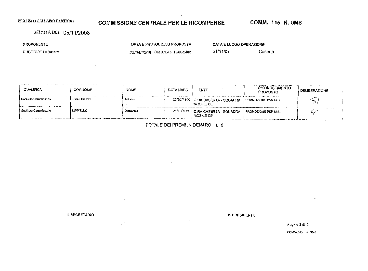# **COMMISSIONE CENTRALE PER LE RICOMPENSE**

**COMM. 115 N. 9MS** 

Caserta

SEDUTA DEL 05/11/2008

PROPONENTE

QUESTORE DI Caserta

DATA E PROTOCOLLO PROPOSTA 23/04/2008 Cat.B.1.A.2.19/08-2482

DATA E LUOGO OPERAZIONE

 $\sim$   $\sim$ 

21/11/07

| <b>QUALIFICA</b>        | <b>COGNOME</b>   | <b>NOME</b> | DATA NASC. | ENTE                                               | <b>RICONOSCIMENTO</b><br><b>PROPOSTO</b> | <b>DELIBERAZIONE</b> |
|-------------------------|------------------|-------------|------------|----------------------------------------------------|------------------------------------------|----------------------|
| I Sostituto Commissario | D'AGOSTINO       | Antonio     |            | 25/05/1960   Q.RA CASERTA - SQUADRA<br>I MOBILE CE | PROMOZIONE PER M.S.                      |                      |
| l Sostituto Commissario | <b>LIPPIELLO</b> | Damenico    |            | 21/10/1960   Q.RA CASERTA - SQUADRA<br>MOBILE CE   | PROMOZIONE PER M.S.                      |                      |

TOTALE DEI PREMI IN DENARO L. 0

IL SEGRETARIO

IL PRESIDENTE

Pagina 3 di 3

COMM. JIS N. 9MS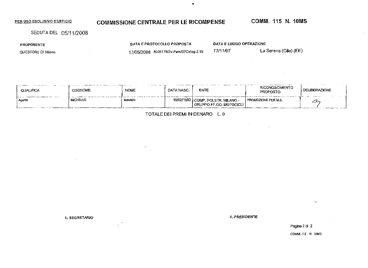# **COMMISSIONE CENTRALE PER LE RICOMPENSE COMM. 115 N. 10MS**

SEDUTA DEL 05/11/2008

PROPOMENTE

QUESTORE DI Milano

DATA E PROTOCOLLO PROPOSTA 17/05/2008 N.Q5178Div.Pcrsy07Categ.2.19

 $\blacksquare$ 

DATA E LUOGO OPERAZIONE

**17/1**t/07 La Serena (Cile) (EE)

| <b>QUALIFICA</b> | <b>The case of the community of the contract of the contract of the contract of the contract of the contract of the contract of the contract of the contract of the contract of the contract of the contract of the contract of </b><br><b>COGNOME</b> | NOME    | $-2$<br>DATA NASC. | ENTE                                                            | <b>RICONOSCIMENTO</b><br><b>PROPOSTO</b> | .<br>.<br><b>Contract Contract</b><br>I DELIBERAZIONE |
|------------------|--------------------------------------------------------------------------------------------------------------------------------------------------------------------------------------------------------------------------------------------------------|---------|--------------------|-----------------------------------------------------------------|------------------------------------------|-------------------------------------------------------|
| Agente           | <b>MICHELUZ</b>                                                                                                                                                                                                                                        | Maurzio |                    | 16/02/1983 COMP, POLSTR, MILANO -<br>l GRUPPO FE.OO. MOTOCICLI- | <b>I PROMOZIONE PER M.S.</b>             | 1.0001111111<br>سىس                                   |

TOTALE DEI PREMI IN DENARO L. 0

IL SEGRETARIO **IL PRESIDENTE** 

Pagina 2 di 2

COMM. 115 N. 10MS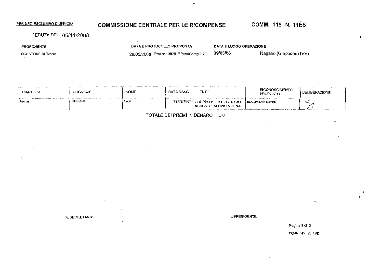# PER USO ESCLUSIVO D'UFFICIO COMMISSIONE CENTRALE PER LE RICOMPENSE COMM. 115 N. 11ES

 $\mathbf{f}$ 

SEDUTA DEL 05/11/2008

PROPONENTE

 $\mathbf{I}$ 

 $\mathbf{v}_1$ 

QUESTORE DI Trento

DATA E PROTOCOLLO PROPOSTA DATA E LUOGO OPERAZIONE

20/05/2008 Prot.nr.i307/Uff.PersfCateg.2.l9 09/03/08 Magano (Giappone) (EE)

 $\sim$ 

| <b>QUALIFICA</b> | <b>COGNOME</b> | <b>NOME</b> | DATA NASC. | ENTE                                              | RICONOSCIMENTO<br>PROPOSTO     | <b>I DELIBERAZIONE</b> |
|------------------|----------------|-------------|------------|---------------------------------------------------|--------------------------------|------------------------|
| l Agente         | STEFANI        | Luca        | 22/02/1987 | I GRUPPO FF.OO. - CENTRO<br>ADDESTR. ALPINO MOENA | $ -$<br><b>ENCOMIO SOLENNE</b> |                        |

TOTALE DEI PREMI fN DENARO L, 0

IL SEGRETARIO IL PRESIDENTE E ANNO 1999 IL PRESIDENTE E ANNO 1999 IL PRESIDENTE.

Pagina 2 di 2

COMM.II5 M IIES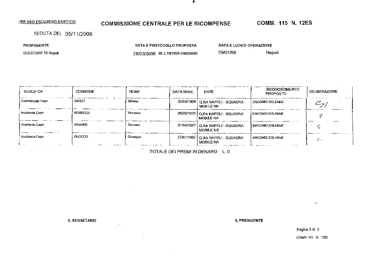# COMMISSIONE CENTRALE PER LE RICOMPENSE COMM. 115 H. 12ES

SEDUTA DEL 05711/2008

PROPONENTE

QUESTORE DI Napoli

DATA E PROTOCOLLO PROPOSTA 28/03/2008 Nr.2.19/1609-3482/8543 DATA E LUOGO OPERAZIONE 09/01/08 Napoli

| QUALIFICA        | <b>COGNOME</b>  | <b>NOME</b> | DATA NASC. | <b>ENTE</b>                                            | <b>RICONOSCIMENTO</b><br><b>PROPOSTO</b> | DELIBERAZIONE |
|------------------|-----------------|-------------|------------|--------------------------------------------------------|------------------------------------------|---------------|
| Commissaria Capo | <b>GIUSTI</b>   | Silvana     |            | 30/04/1959   Q.RA NAPOLI - SQUADRA<br>MOBILE NA        | <b>ENCOMIO SOLENNE</b>                   |               |
| Assistente Caro  | <b>BORRELLI</b> | Vincenzo    |            | 26/09/1970   Q.RA NAPOLI - SQUADRA<br><b>MOBILE NA</b> | ENCOMIO SOLENNE                          |               |
| Assistente Capo  | <b>GRANDE</b>   | Gennaro     |            | 01/04/1967   Q.RA NAPOLI - SQUADRA<br>I MOBILE NA      | <b>ENCOMIO SOLENNE</b>                   |               |
| Assistente Capo  | RUOCCO          | Giuseppe    |            | 27/01/1962   Q.RA NAPOLI - SQUADRA<br>MOBILE NA        | I ENCOMIO SOLENNE<br>                    | . .           |

•

TOTALE DEI PREMI IN DENARO L. 0

IL SEGRETARIO **IL PRESIDENTE** 

 $\sim$   $\sim$ 

Pagina 3 di 3

COMM. 115 N. 12ES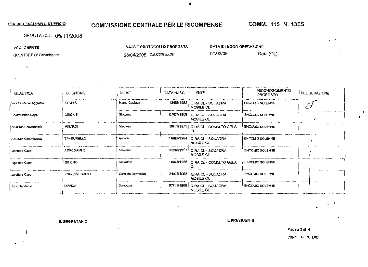# **COMMISSIONE CENTRALE PER LE RICOMPENSE**

COMM. 115 N. 13ES

SEDUTA DEL 05/11/2008

PROPONENTE

-1

 $\ddotsc$ 

QUESTORE DI Caltanisselta

DATA E PROTOCOLLO PROPOSTA

DATA E LUOGO OPERAZIONE

28/04/2008 Cat.C5/Gab.08

01/02/08 Gela (CL)

| <b>QUALIFICA</b>                 | <b>COGNOME</b>      | <b>NOME</b>      | DATA MASC. | ENTE                                  | RICONOSCIMENTO<br><b>PROPOSTO</b> | <b>DELIBERAZIONE</b> |
|----------------------------------|---------------------|------------------|------------|---------------------------------------|-----------------------------------|----------------------|
| Vice Queslore Aggiunto           | <b>STAFFA</b>       | Marco Gustavo    | 13A0B/1962 | Q.RA CL - SQUADRA<br>MOBILE CL        | <b>ENCOMIO SOLENNE</b>            |                      |
| Commissario Capo                 | <b>GIUDICE</b>      | Crovanni         | 07/07/1969 | Q.RA CL - SQUADRA<br>MOBILE CL        | <b>ENCOMIC SOLENNE</b>            |                      |
| Sostilulo Commissario            | <b>MINARDI</b>      | Glovenni         | 19/11/1971 | I Q.RA CL - COMMATO GELA<br>CL        | <b>ENCOMIO SOLENNE</b>            |                      |
| l Sostituto Commissa <b>ri</b> o | TAMBURELLO          | Angelo           | 16/03/1964 | <b>O.RA CL - SQUADRA</b><br>MOBILE CL | <b>ENCOMIO SOLENNE</b>            |                      |
| l Ispettore Capo                 | ARROGANTE           | Glovanni         | 31/08/1957 | Q.RA CL - SOUADRA<br>MOBILE CL        | <b>ENCOMIO SOLENNE</b>            |                      |
| Ispellore Capo                   | <b>GIUGNO</b>       | Salvatore        | 18/03/1958 | Q.RA CL - COMM.TO GELA                | <b>ENCOMIO SOLENNE</b>            |                      |
| I Ispellore Capo                 | <b>PORROVECCHIO</b> | Carmelo Domenico | 24/04/1968 | Q.RA CL - SQUADRA<br>MOBILE CL        | <b>ENCOMIO SOLENNE</b>            |                      |
| Sovrintendente                   | <b>D'ANCA</b>       | Salvatore        | 07/11/1968 | Q.RA CL - SQUADRA<br>MOBILE CL        | <b>ENCOMO SOLENNE</b>             |                      |

 $\ddot{\phantom{0}}$ 

**IL SEGRETARIO** 

IL PRESIDENTE

Pagina 3 di 4

COMM. 115 N. 13ES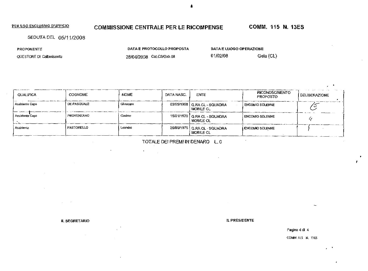# COMMISSIONE CENTRALE PER LE RICOMPENSE COMM. 115 N. 13ES

SEDUTA DEL 05/11/2008

PROPONENTE

QUESTORE DI Calianissetta

DATA E PROTOCOLLO PROPOSTA

28/04/2008 [Cat.C5reab.08](http://Cat.C5reab.08)

 $\mathcal{F}^{\text{max}}_{\text{max}}$ 

DATA E LUOGO OPERAZIONE

01/02/08 Gela (CL)

| QUALIFICA         | <b>COGNOME</b> | <b>NOME</b> | DATA NASC. | <b>ENTE</b>                                        | RICONOSCIMENTO<br><b>PROPOSTO</b> | <b>DELIBERAZIONE</b> |
|-------------------|----------------|-------------|------------|----------------------------------------------------|-----------------------------------|----------------------|
| Assisienie Capo   | DE PASQUALE    | Giuseppe    |            | 03/05/1968   Q.RA CL - SQUADRA<br><b>MOBILE CL</b> | ENCOMIO SOLENNE                   |                      |
| Assistente Capo   | PROVENZANO     | Cosimo      |            | 15/01/1970   Q.RA CL - SQUADRA<br>I MOBILE CL      | <b>ENCOMO SOLENNE</b>             |                      |
| <b>Assistente</b> | PASTORELLO     | Leandro     |            | 26/06/1975   Q.RA CL - SQUADRA<br>MOBILE CL        | <b>ENCOMIO SOLENNE</b>            |                      |

TOTALE DEf PREMI IN DENARO L. 0

IL SEGRETARIO DE CONSTITUCIÓN EN EL PRESIDENTE DE CONSTITUCIÓN EN EL PRESIDENTE

 $\mathcal{L}$ 

 $\mathbf{v}$ 

Pagina 4 di 4

COMM. II5 N. 13ES

 $\bullet$ 

 $\sim$   $\bullet$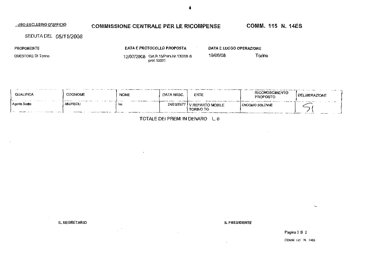#### USO ESCLUSIVO D'UFFICIO COMM. 115 N. 14ES COMMISSIONE CENTRALE PER LE RICOMPENSE

SEDUTA DEL 05/11/2008

PROPONENTE

 $\sim 10^{-10}$ 

QUESTORE DI Torino

DATA E PROTOCOLLO PROPOSTA 12/07/2008 Cat.R.15/Pers.Nr.132/08 di

prof.10091

 $\sim$ DATA E LUOGO OPERAZIONE

19/06/08

Torino

| ----<br>QUALIFICA | <b>COGNOME</b><br>. | <b>NOME</b><br>--------- | DATA NASC. | ENTE                                        | <b>RICONOSCIMENTO</b><br>PROPOSTO | .<br>DELIBERAZIONE                                                                             |
|-------------------|---------------------|--------------------------|------------|---------------------------------------------|-----------------------------------|------------------------------------------------------------------------------------------------|
| ) Agente Scello   | <b>ANDREOLI</b>     | lvo                      | 24/01/1977 | <b>/ REPARTO MOBILE</b><br><b>TORINO TO</b> | <b>ENCOMIO SOLENNE</b>            | $\mathbf{r} = \mathbf{r} + \mathbf{r}$ . The second is a set of $\mathbf{r}$<br>$-2 = -1$<br>∽ |

TOTALE DEI PREMI IN DENARO L. 0

IL SEGRETARIO

 $\sim 10$ 

IL PRESIDENTE

 $\ddot{\phantom{a}}$ 

Pagina 2 di 2 COMM. 115 N. 14ES

 $\mathcal{L}_{\text{max}}$ 

đ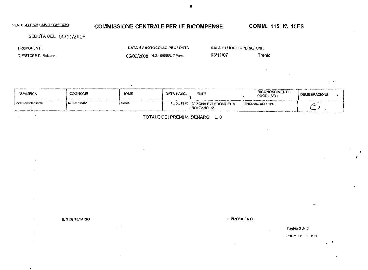# **COMMISSIONE CENTRALE PER LE RICOMPENSE**

COMM. 115 N. 15ES

SEDUTA DEL 05/11/2008

PROPONENTE

QUESTORE DI Bolzano

 $\sim$  $\chi \to 0$ 

 $\blacksquare$ 

DATA E PROTOCOLLO PROPOSTA

05/06/2008 N.2.19/898/Uff.Pers.

DATA E LUOGO OPERAZIONE

03/11/07

Trento

| <b>QUALIFICA</b>      | <b>COGNOME</b>   | <b>NOME</b> | DATA NASC. | <b>ENTE</b>                                            | <b>RICONOSCIMENTO</b><br>PROPOSTO | DELJBERAZIONE |
|-----------------------|------------------|-------------|------------|--------------------------------------------------------|-----------------------------------|---------------|
| l Vice Sovrintendente | <b>MAZZURANA</b> | Bruno       |            | 13/05/1970   3^ ZONA POLFRONTIERA<br><b>BOLZANO BZ</b> | ENCOMIO SOLENNE                   |               |

TOTALE DEI PREMI IN DENARO L.O.

IL SEGRETARIO

IL PRESIDENTE

Pagina 3 di 3

COMM. 115 N. ISES

٠,

 $\sim$ 

t.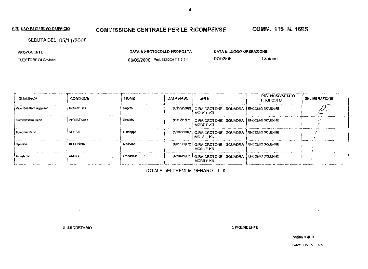# **COMMISSIONE CENTRALE PER LE RICOMPENSE COMM. 115 N. 16ES**

 $\sim 10^7$ 

SEDUTA DEL 05/11/2008

| <b>PROPONENTE</b>   | DATA E PROTOCOLLO PROPOSTA     | DATA E LUOGO OPERAZIONE |         |  |
|---------------------|--------------------------------|-------------------------|---------|--|
| QUESTORE DI Crotone | 06/05/2008 Prot.1320CAT.1.2.14 | 07/02/08                | Crotone |  |

| QUALIFICA             | COGNOME          | NOME      | DATA NASC | ENTE                                                                   | <b>RICONOSCIMENTO</b><br>PROPOSTO | <b>DELIBERAZIONE</b> |
|-----------------------|------------------|-----------|-----------|------------------------------------------------------------------------|-----------------------------------|----------------------|
| Vice Questore Acolumb | MORABITO         | alapn 4   |           | 07/11/1969   Q.RA CROTONE - SOUADRA   ENCOMIO SOLENNE<br>MOBILE KR     |                                   |                      |
| l Commissario Cano    | PIGNATARO        | Catardo   |           | 01/12/1971 G.RA CROTONE - SQUADRA FENCOMIO SOLENNE<br><b>MOBILE KR</b> |                                   |                      |
| <b>Ispettore Capo</b> | RUSSO            | Gluseppe  |           | 27/02/1967   Q.RA CROTONE - SQUADRA   ENCOMIO SOLENNE<br>MOBILE KR     |                                   |                      |
| ! Ispettore           | <b>BELLINVIA</b> | Massimo   |           | 09/11/1972 CRA CROTONE - SQUADRA<br><b>MOBILF KR</b>                   | <b>ENCOMIO SOLENNE</b>            |                      |
| Assistente            | BASILE           | Franceson |           | 02/04/1971   Q.RA CROTONE - SQUADRA  <br><b>MOBILE KR</b>              | <b>ENCOMIO SOLENNE</b>            |                      |

TOTALE DEI PREMI fN DENARO L. 0

IL SEGRETARIO IL PRESIDENTE

Pagina 3 di 3

COMM. 115 N. ISES

 $\sim$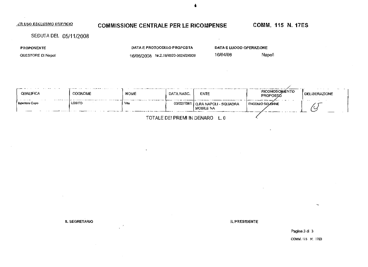## COMMISSIONE CENTRALE PER LE RICOMPENSE

#### **COMM. 115 N. 17ES**

SEDUTA DEL 05/11/2008

**PROPONENTE** 

 $\sim$ 

QUESTORE DI Napoli

DATA E PROTOCOLLO PROPOSTA 16/06/2008 Nr.2.19/4920-3624/24909 DATA E LUOGO OPERAZIONE

 $\sim$ 

16/04/08 Napoli

| <b>QUALIFICA</b><br>And a substitution of the state<br>$\sim$ $\sim$ $\sim$<br>. | <b>COGNOME</b> | <b>NOME</b> | DATA NASC. | ENTE                                              | RICONOSCIMÉNTO<br>PROPOSIO | DELIBERAZIONE |  |  |
|----------------------------------------------------------------------------------|----------------|-------------|------------|---------------------------------------------------|----------------------------|---------------|--|--|
| <b>Ispellore Capo</b>                                                            | <b>LOSITO</b>  | Vito        |            | 03/02/1961   Q.RA NAPOLI - SQUADRA<br>I MOBILE NA | <b>ENCOMO SOLENNE</b>      | ∼             |  |  |
| TOTALE DEI PREMI IN DENARO                                                       |                |             |            |                                                   |                            |               |  |  |

**IL SEGRETARIO** 

**IL PRESIDENTE** 

Pagina 3 di 3 COMM. 115 N. 17ES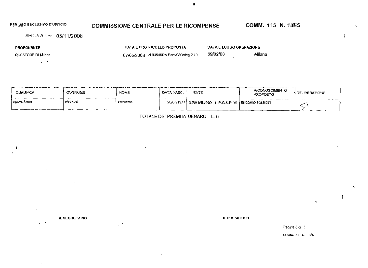# **COMMISSIONE CENTRALE PER LE RICOMPENSE COMM. 115 N. 18ES**

SEDUTA DEL 05/11/2008

PROPONENTE

QUESTORE DI Milano

 $\mathbf{q} \in \mathcal{F}$ 

DATA E PROTOCOLLO PROPOSTA 07/05/2008 N.03546Div.Pers/OfiCateg.2.19

OATA E LUOGO OPERAZIONE

•

09/02/08 MiJano

| QUALIFICA     | COGNOME        | <b>NOME</b> | DATA NASC. | ENTE                                                                          | <b>RICONOSCIMENTO</b><br>PROPOSTO | I DELIBERAZIONE |
|---------------|----------------|-------------|------------|-------------------------------------------------------------------------------|-----------------------------------|-----------------|
| Agenie Scello | <b>BIANCHI</b> | Francesco   |            | $20/05/1977$ $\vert$ Q, RA MILANO - U, P, G, S, P, MI $\vert$ ENCOMIO SOLENNE |                                   | $\cdots$        |

TOTALE DEI PREMI IN DENARO L.O

IL SEGRETARIO IL PRESIDENTE

 $\mathcal{L}_{\mathcal{A}}$  $\mathbf{r}$ 

Pagina 3 di 3

[COMM.ll5](http://COMM.ll) N. IBES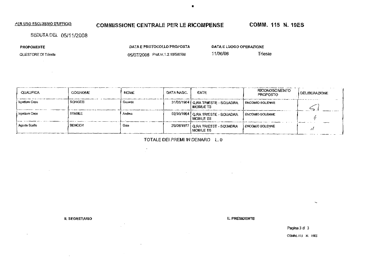# **COMMISSIONE CENTRALE PER LE RICOMPENSE COMM. 115 N. 19ES**

SEDUTA DEL 05/11/2008

PROPONENTE

QUESTORE DI Trieste

 $\sim 10$ 

 $\sim$ 

DATA E PROTOCOLLO PROPOSTA

05/07/2008 Prol.nr. 1.2.19/507/09

 $\frac{1}{2}$ 

DATA E LUOGO OPERAZIONE

 $\blacksquare$ 

11/06/08 Trieste

| QUALIFICA      | <b>COGNOME</b>  | <b>NOME</b> | DATA NASC. | ENTE                                                    | <b>RICONOSCIMENTO</b><br><b>PROPOSTO</b> | <b>DELIBERAZIONE</b> |
|----------------|-----------------|-------------|------------|---------------------------------------------------------|------------------------------------------|----------------------|
| Ispettore Capo | <b>SCHIOZZI</b> | Gerardo     |            | 31/05/1964   Q.RA TRIESTE - SQUADRA<br><b>MOBILE TS</b> | ENCOMIO SOLENNE                          |                      |
| Ispettore Capo | STABILE         | Andrea      |            | 02/10/1964 Q.RA TRIESTE - SQUADRA<br>MOBILE TS          | ENCOMIO SOLENNE                          |                      |
| Agente Scelto  | <b>ВЕМСКН</b>   | Gaia        |            | 26/08/1977   Q.RA TRIESTE - SQUADRA<br><b>MOBILE TS</b> | <b>ENCOMIO SOLENNE</b>                   |                      |

TOTALE DEI PREMI FN DENARO L. 0

 $\sim 10$ 

IL SEGRETARIO IL PRESIDENTE

 $\sim$ 

Pagina 3 di 3

COMM. II5 N. 19ES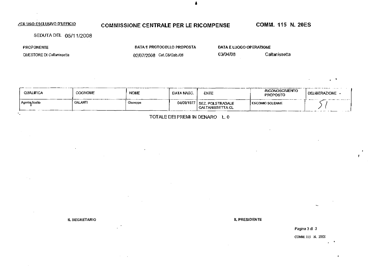#### **COMMISSIONE CENTRALE PER LE RICOMPENSE**

### **COMM. 115 N. 20ES**

SEDUTA DEL 05/11/2008

**PROPONENTE** 

٠.

QUESTORE DI Callanissetta

DATA E PROTOCOLLO PROPOSTA

02/07/2008 Cat.C5/Gab./08

DATA E LUOGO OPERAZIONE 03/04/08

Caltanissetta

| <b>QUALIFICA</b> | COGNOME        | <b>NOME</b> | DATA NASC. | ENTE                                      | <b>RICONOSCIMENTO</b><br><b>PROPOSTO</b> | <b>The Commission Commission Commission</b><br>DELIBERAZIONE - |
|------------------|----------------|-------------|------------|-------------------------------------------|------------------------------------------|----------------------------------------------------------------|
| Agenta Scello    | <b>GALANTI</b> | Giuseppe    | 04/09/1977 | I SEZ. POLSTRADALE.<br>I CALTANISSETTA CL | I ENCOMIO SOLENNE                        | and the second state of                                        |

TOTALE DEI PREMI IN DENARO L. 0

IL SEGRETARIO

**IL PRESIDENTE** 

Pagina 3 di 3 COMM. 115 N. 20ES

 $\mathbf{r}$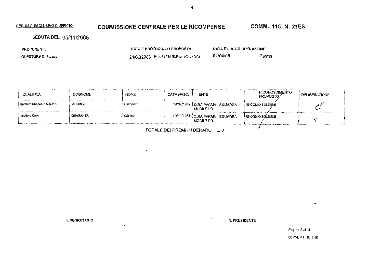# **COMMISSIONE CENTRALE PER LE RICOMPENSE COMM. 115 N. 21ES**

SEDUTA DEL 05/11/2008

PROPONENTE

QUESTORE DI Parma

DATA E PROTOCOLLO PROPOSTA

100 - San Angel Stern Stern Stern

 $\overline{a}$ 

24/06/2008 Prol. 1227/Uff.Pers./Cat.4^/08

DATA E LUOGO OPERAZIONE 01/04/08 Parma

| <b>OUALIFICA</b>                    | <b>COGNOME</b>  | <b>NOME</b> | DATA NASC. | <b>ENTE</b>                                                  | RICONOSCIMENTO<br>PROPOSTO/ | <b>DELIBERAZIONE</b> |
|-------------------------------------|-----------------|-------------|------------|--------------------------------------------------------------|-----------------------------|----------------------|
| <b>Isperiore Superiore S.U.P.S.</b> | <b>IACOBONI</b> | Giampiero   |            | 2.9.1.17<br>19/07/1967   Q.RA PARMA - SQUADRA<br>I MOBILE PR | <b>ENCOMIO SOLENNE</b>      |                      |
| Ispellore Capo                      | <b>QUARANTA</b> | Cristino    |            | 19/10/1961   Q.RA PARMA - SQUADRA<br>I MOBILE PR             | ENCOMIO SCILENNE            |                      |
|                                     |                 |             |            |                                                              |                             |                      |

TOTALE DEI PREMI IN DENARO L. 0

 $\sim$ 

IL SEGRETARIO **il presidente di un provincia contra la provincia contra la provincia contra la primera di un presidente** 

Pagina 3 di 3 COMM. 113 N. 2IES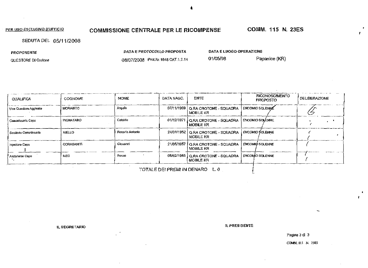#### COMMISSIONE CENTRALE PER LE RICOMPENSE

COMM. 115 N. 23ES

SEDUTA DEL 05/11/2008

| <b>PROPONENTE</b>   | DATA E PROTOCOLLO PROPOSTA         | DATA E LUQGO OPERAZIONE |               |
|---------------------|------------------------------------|-------------------------|---------------|
| QUESTORE DI Crotone | 08/07/2008 Prot.Nr.1848 CAT.1.2.14 | 01/05/08                | Papanice (KR) |

| <b>QUALIFICA</b>        | <b>COGNOME</b>    | <b>NOME</b>     | DATA NASC. | <b>ENTE</b>                                                                | RICONOSCIMENTO<br><b>PROPOSTO</b> | DELIBERAZIONE |
|-------------------------|-------------------|-----------------|------------|----------------------------------------------------------------------------|-----------------------------------|---------------|
| Vice Questore Aggiunto  | <b>MORABITO</b>   | Angelo          |            | 07/11/1969   Q.RA CROTONE - SQUADRA   ENCOMIO SOLENI)E<br><b>MOBILE KR</b> |                                   |               |
| Comunissario Capo       | <b>PIGNATARO</b>  | Cataldo         |            | 01/12/1971   Q.RA CROTONE - SQUADRA  <br>I MOBILE KR                       | <b>ENCOMIO SOLENNE</b>            |               |
| l Sostituto Commissario | <b>AIELLO</b>     | Rosario Antonio |            | 24/01/1952   Q.RA CROTONE - SQUADRA  <br>I MOBILE KR                       | ENCOMIO SOLENNE                   |               |
| I Ispaliore Capo        | <b>CORASANITI</b> | Giovanni        |            | 21/05/1957   Q.RA CROTONE - SQUADRA   ENCOMIQ SOLENNE<br>MOBILE KR         |                                   |               |
| Assistente Capo         | MEO               | Racoo           |            | 06/02/1965   Q.RA CROTONE - SQUADRA   ENCOMO SOLENNE<br>I MOBILE KR        |                                   |               |

TOTALE DEI PREMI IN DENARO LO

**IL SEGRETARIO** 

**IL PRESIDENTE** 

Pagina 3 dl 3

COMM. 115 N. 23ES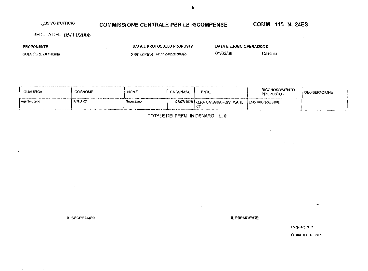#### **LUSIVO D'UFFICIO**

# COMMISSIONE CENTRALE PER LE RICOMPENSE COMM. 115 N. 24ES

SEDUTA DEL 05/11/2008

 $\sim$ 

PROPONENTE

 $\mathcal{L} = \{ \mathcal{L} \}$  , where  $\mathcal{L} = \{ \mathcal{L} \}$ 

 $\mathbf{I}$ 

QUESTORE DI Catania

**DATA** E PROTOCOLLO **PROPOSTA** 

 $\mathcal{L}^{\text{max}}_{\text{max}}$  and  $\mathcal{L}^{\text{max}}_{\text{max}}$ 

23/04/2008 Nr.i12-027/08/Gab. **DATA** E **LUOGO OPERAZfONE** 

01/02/08 Catania

| <br>.<br><b>QUALIFICA</b> | COGNOME | <b>NOME</b> | DATA NASC. | ENTE                                                  | -------<br><b>RICONOSCIMENTO</b><br><b>PROPOSTO</b> | DELIBERAZIONE |
|---------------------------|---------|-------------|------------|-------------------------------------------------------|-----------------------------------------------------|---------------|
| Agente Scello             | ROMANO  | Sebastiano  |            | $01/07/1978$ QRA CATANIA - DIV, P.A.S.<br>$\sim$<br>ັ | $- - - -$<br>I ENCOMIO SOLENNE                      |               |

TOTALE DEI PREMI IN DENARO L. 0

 $\sim$ 

**IL SEGRETARIO IL PRESIDENTE** 

Pagina 3 dt 3 COMM. IIS N. 24ES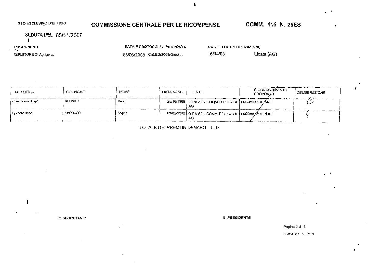# **COMMISSIONE CENTRALE PER LE RICOMPENSE**

**COMM. 115 N. 25ES** 

 $\mathbf{r}$ 

SEDUTA DEL 05/11/2008

 $\blacksquare$ 

PROPONENTE

**QUESTORE DI Agrigento** 

DATA E PROTOCOLLO PROPOSTA

 $\bar{\phantom{a}}$ 

DATA E LUOGO OPERAZIONE

16/04/08

03/06/2008 Cat.E.2/2008/Gab./11

Licata (AG)

| QUALIFICA         | <b>COGNOME</b> | <b>NOME</b> | DATA NASC. | <b>ENTE</b>                                                     | <b>RICONOSCIMENTO</b><br>PROPOSTO | I DELIBERAZIONE |
|-------------------|----------------|-------------|------------|-----------------------------------------------------------------|-----------------------------------|-----------------|
| Commissario Capo  | MOSSUTO        | Cado        |            | 25/10/1968   Q.RA AG - COMM.TO LICATA   ENCOMIO SOLENNE<br>I AG |                                   |                 |
| I Ispettore Capo. | <b>AMOROSO</b> | Angelo      |            | 02/05/1960   Q.RA AG - COMM.TO LICATA   ENCOMIC SOLENNE<br>АG   |                                   |                 |

TOTALE DEI PREMI IN DENARO L. 0

**IL SEGRETARIO** 

IL PRESIDENTE

Pagina 3 di 3

COMM 115 N. 25ES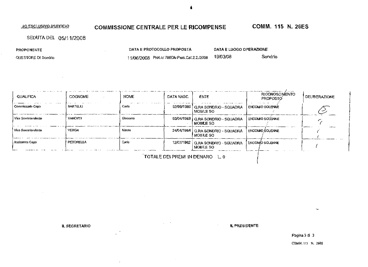30 ESCLUSIVO D'UFFICIO

### **COMMISSIONE CENTRALE PER LE RICOMPENSE**

**COMM. 115 N. 26ES** 

SEDUTA DEL 05/11/2008

**PROPONENTE** 

QUESTORE DI Sondrio

DATA E PROTOCOLLO PROPOSTA

11/06/2008 Prot.nr.780Div.Pers.Cal.2.2./2008 19/03/08

Sondrio

DATA E LUOGO OPERAZIONE

| <b>QUALIFICA</b>      | <b>COGNOME</b> | <b>NOME</b> | DATA NASC. | <b>ENTE</b>                                             | <b>RICONOSCIMENTO</b><br>PROPOSTO | <b>DELIBERAZIONE</b> |
|-----------------------|----------------|-------------|------------|---------------------------------------------------------|-----------------------------------|----------------------|
| Commissarlo Cago      | BARTELLI       | Carlo       |            | 02/06/1969   Q.RA SONDRIO - SQUADRA<br><b>MOBILE SO</b> | ENCOMIO SOLENNE                   |                      |
| l Vice Sovrintendente | <b>VANOTTI</b> | Glacomo     |            | 03/04/1968   Q.RA SONDRIO - SQUADRA<br><b>MOBILE SO</b> | I ENCOMIO SOLENNE                 |                      |
| Vice Sovrintendente   | <b>VERGA</b>   | Mauro       |            | 24/04/1964   Q.RA SONDRIO - SQUADRA<br>MOBILE SO        | I ENCOMIO SOLENNE                 |                      |
| Assistente Cago       | PETORELLA      | Carlo       |            | 12/07/1962   Q.RA SONDRIO - SQUADRA<br>MOBILE SO        | ENCOMIO SOLENNE                   |                      |

TOTALE DEI PREMI IN DENARO L. 0

IL SEGRETARIO

**IL PRESIDENTE**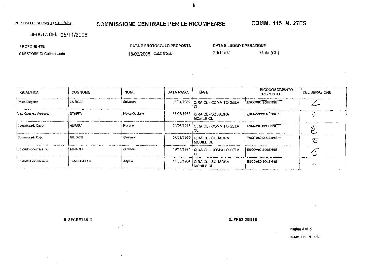# **COMMISSIONE CENTRALE PER LE RICOMPENSE**

COMM. 115 N. 27ES

SEDUTA DEL 05/11/2008

**PROPONENTE** 

**QUESTORE DI Caltanissella** 

DATA E PROTOCOLLO PROPOSTA

DATA E LUOGO OPERAZIONE

20/11/07

18/02/2008 Cal.C5/Gab.

Gela (CL)

| QUALIFICA                                                                                                   | <b>COGNOME</b>    | <b>NOME</b>   | DATA NASC. | <b>ENTE</b>                                        | RICONOSCIMENTO<br><b>PROPOSTO</b> | I DELIBERAZIONE |
|-------------------------------------------------------------------------------------------------------------|-------------------|---------------|------------|----------------------------------------------------|-----------------------------------|-----------------|
| Primo Dirigente                                                                                             | LA ROSA           | Salvatore     |            | 08/04/1962   Q.RA CL - COMM.TO GELA<br>CL.         | <b>LENCOMIC SOLENNE</b>           |                 |
| Vice Questore Aggiunto                                                                                      | <b>STAFFA</b>     | Marco Gustavo |            | 13/08/1962   Q.RA CL - SOUADRA<br><b>MOBILE CL</b> | <b>ENCOMPOSTLENNE</b>             |                 |
| Constrissario Capo                                                                                          | <b>AMARU</b>      | Rosario       |            | 21/08/1968   Q,RA CL - COMM.TO GELA                | <b>ENCOMIC SOLENNE</b>            |                 |
| Commissario Capo                                                                                            | <b>GIUDICE</b>    | Giovanni      |            | 07/07/1969   Q.RA CL - SQUADRA<br>I MOBILE CL      | <b>ENCOMIC SOLENNE-</b>           | E               |
| l Sastilula Commissario                                                                                     | <b>MPIARDI</b>    | Ciovanni      |            | 19/11/1971   Q.RA CL - COMM.TO GELA                | <b>ENCOMO SOLENNE</b>             |                 |
| Sostituto Commissario<br>والمتساوية والمواهدة المستنبذ المتعارف والمتعارف والمستنب المتحمل المتحمل والمستنب | <b>TAMBURELLO</b> | Angelo        |            | 16/03/1964   Q.RA CL - SQUADRA<br>I MOBILE CL      | <b>ENCOMIO SOLENNE</b>            | ۴t              |

**IL SEGRETARIO** 

**IL PRESIDENTE** 

Pagina 4 di 5

COMM. 115 N. 27ES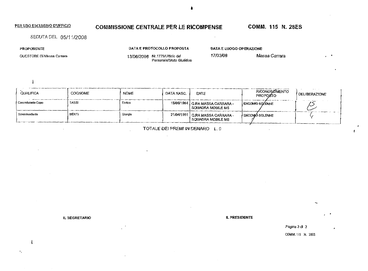### COMMISSIONE CENTRALE PER LE RICOMPENSE COMM. 115 N. 28ES

SEDUTA DEL 05/11/2008

PROPONENTE

QUESTORE DJ Massa Carrara

DATA E PROTOCOLLO PROPOSTA

DATA E LUOGO OPERAZIONE

13/06/2008 Nr. 1775/Ufficlo def Persanale/Slato Giuridico 17/03/08 Massa Carrara

 $\mathbf{1}$ 

| OUALIFICA        | COGNOME      | <b>NOME</b> | DATA NASC. | <b>ENTE</b>                                                   | RICONOSCIMENTO<br><b>PROPOSTO</b> | I DELIBERAZIONE                        |
|------------------|--------------|-------------|------------|---------------------------------------------------------------|-----------------------------------|----------------------------------------|
| Commissario Capo | <b>TASSI</b> | Enrico      |            | 15/06/1964   Q.RA MASSA CARRARA -<br><b>SQUADRA MOBILE MS</b> | <b>ENCOMIO SOLENNE</b>            | <b>Contract Contract Contract</b><br>ຼ |
| Sovrintendente   | <b>BERTI</b> | Giorgio     |            | 21/04/1961   Q.RA MASSA CARRARA -<br>I SQUADRA MOBILE MS      | <b>ENCOMBO SOLENNE</b>            |                                        |

TOTALE DE! PREMt IN DENARO L. 0

 $\sim$ 

IL SEGRETARIO IL PRESIDENTE

Pagina 3 di 3

COMM. 115 N. 2BES

 $\blacksquare$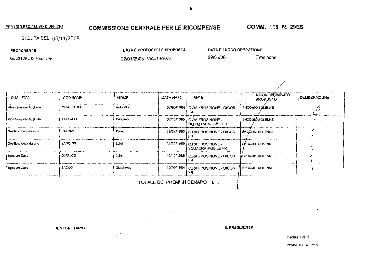# COMMISSIONE CENTRALE PER LE RICOMPENSE COMM. 115 N. 29ES

SEDUTA DEL 05/11/2008

PROPONENTE

QUESTORE DI Frosinone

DATA E PROTOCOLLO PROPOSTA

22/01/2008 Cat.B1.a/2O0B

DATA E LUOGO OPERAZIONE

29/01/08 Fresinone

| QUALIFICA              | <b>COGNOME</b>      | <b>NOME</b> | DATA NASC. | <b>ENTE</b>                                        | <b>RICONOSCIMENTO</b><br><b>PROPOSTO</b> | <b>DELIBERAZIONE</b> |
|------------------------|---------------------|-------------|------------|----------------------------------------------------|------------------------------------------|----------------------|
| Vice Questore Agglunto | <b>CHIAPPARELLI</b> | Antonella   |            | 07/03/1964   Q.RA FROSINONE - DIGOS<br>FВ          | <b>ENCOMIO SOLENNE</b>                   |                      |
| Vice Questore Agglunto | TATARELLI           | Cristiano   |            | 07/10/1965   Q.RA FROSINONE -<br>SOUADRA MOBILE FR | <b>ENCOMIO SOLENNE</b>                   |                      |
| Sostituto Commissario  | <b>FATRIZI</b>      | Paglo       |            | 18/07/1963   Q.RA FROSINONE - DIGOS                | <b>ENCOMO SOLENNE</b>                    |                      |
| Sostituto Commissario  | ZAGORDI             | Lulgi       |            | 21/05/1959   Q.RA FROSINONE -<br>SOUADRA MOBILE FR | ENCOMIO SOLENNE                          |                      |
| <b>Ispeltore Capo</b>  | <b>DI FALCO</b>     | Luigi       |            | 10/12/1966   Q.RA FROSINONE - DIGOS<br>FR          | JENCOMIO SOLENNE                         |                      |
| spellore Capo          | <b>SACCO</b>        | Giantranco  |            | 10/09/1964   Q.RA FROSINONE - DIGOS<br>FR          | ENCOMIO SOLENNE                          |                      |

TOTALE DEI PREMI IN DENARO L. 0

IL SEGRETARIO JL PRESIDENTE

Pagina 3 di 3

COMM. Its N. 29ES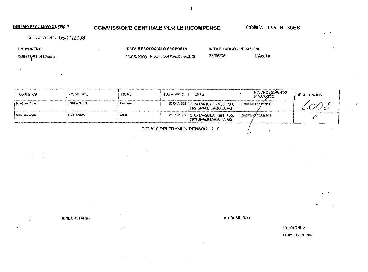### COMMISSIONE CENTRALE PER LE RICOMPENSE COMM. 115 N. 30ES

 $\mathbf{r}$ 

SEDUTA DEL 05/11/2008

PROPONENTE

 $\mathcal{P}_{\mathcal{A}}$ 

×,

QUESTORE DI L'Aquila

DATA E PROTOCOLLO PROPOSTA

 $\bar{\zeta}$ 

26/06/2008 ProLnr.49QaPers.Caleg.2.18

27/05/00 L'Aquila

DATA E LUOGO OPERAZIONE

| <b>QUALIFICA</b>      | <b>COGNOME</b>    | <b>NOME</b>    | DATA NASC. | <b>ENTE</b>                                                     | RICONOSCAMENTO<br><b>PROPOSTO</b> | <b>DELIBERAZIONE</b> |
|-----------------------|-------------------|----------------|------------|-----------------------------------------------------------------|-----------------------------------|----------------------|
| / Ispettore Capo      | <b>LORENZETTI</b> | <b>Umberto</b> |            | 02/04/1958   Q.RA L'AQUILA - SEZ. P.G.<br>TRIBUNALE L'AQUILA AQ | ENCOMIO SOLENNE                   |                      |
| <b>Ispeltore Capo</b> | <b>TARTAGLIA</b>  | Duilla         |            | 25/09/1961   Q.RA L'AQUILA - SEZ, P.G.<br>TRIBUNALE L'AQUILA AQ | <b>ENCOMIC SOLENNE</b>            |                      |
|                       |                   |                |            |                                                                 |                                   |                      |

 $\mathbf{I}$ 

IL SEGRETARIO IL PRESIDENTE

Pagina 3 di 3

COMM. N.S N. 30ES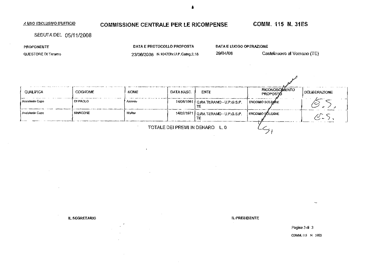# A USO ESCLUSIVO D'UFFICIO **COMMISSIONE CENTRALE PER LE RICOMPENSE COMM. 115 N. 31ES**

SEDUTA DEL 05/11/2008

PROPONENTE

QUESTORE DI Teramo

DATA E PROTOCOLLO PROPOSTA 23/06/2008 M-iQ47Dlv.U.P.Categ.2.18 DATA E LUOGO OPERAZIONE

29/04/08 Castelnuovo al Vomano (TE)

| QUALIFICA                       | COGNOME        | <b>NOME</b> | DATA NASC. | <b>ENTE</b>                                | <b>RICONOSCIMENTO</b><br>PROPOSTO | <b>DELIBERAZIONE</b> |  |
|---------------------------------|----------------|-------------|------------|--------------------------------------------|-----------------------------------|----------------------|--|
| Assisienie Capp                 | i di Paolo     | Antonio     |            | 14/06/1961   Q.RA TERAMO - U.P.G.S.P.<br>π | ENCOMIO SOLEMNE                   |                      |  |
| Assistente Capo                 | <b>MARCONE</b> | Walter      |            | 14/02/1971   Q.RA TERAMO - U.P.G.S.P.      | <b>ENCOMIO SÜLENNE</b>            |                      |  |
| TOTALE DEI PREMI IN DENARO L.O. |                |             |            |                                            |                                   |                      |  |

IL SEGRETARIO **IL PRESIDENTE** 

Pagina 3 di 3 COMM. II5 N. MES

**A**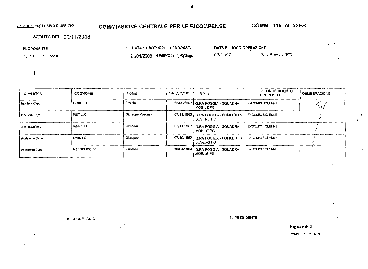# COMMISSIONE CENTRALE PER LE RICOMPENSE COMM. 115 N. 32ES

 $\sim$ 

 $\mathbf{I}$ 

SEDUTA DEL 05/11/2008

**PROPONENTE** 

 $\mathbf{I}$ 

 $\ddot{\phantom{a}}$ 

QUESTORE DI Foggia

**DATA E PROTOCOLLO PROPOSTA**  21/01/2008 N.6965/2.18.4(08)/Segr. **DATA E LUOGO OPERAZIONE** 

02/11/07 San Severo (FG)

RICONOSCIMENTO COGNOME NOME DATA NASC. ENTE **DELIBERAZIONE QUALIFICA** PROPOSTO LIONETTI Antonio 22/Q9H962 Ispettore Capo Q.RA FOGGIA - SQUADRA ENCOMIO SOLENNE  $\leqslant$ MOBILE FG Giuseppe Massimo **PISTILLO** 07/11/1960 Q.RA FOGGIA - COMM.TO S. ENCOMIO SOLENNE Ispettore C2po  $\epsilon$ SEVERO FG  $\frac{1}{\sqrt{2}}$ **LANNELLJ** Giovarmi 05/11/1967 Q.RA FOGGIA - SQUADRA ENCOMIO SOLENNE Sovrintendente **(**  MOBILE FG  $\overline{\phantom{a}}$ D'ANZEO Giuseppe 07/10/1962 Q.RA FOGGJA- COMM.TO S. ENCOMIO SOLENNE Assistente Capo SEVERO FG **f**  MENDQLICCHIO Vincenzo 10/04/1968 Q .RA FOGGIA - SQUADRA ENCOMO SOLENNE Assistente Capo MOBILE FG

IL SEGRETARIO IL PRESIDENTE

**Pagina 5 di 6**  COMM.II5 N. 32ES

é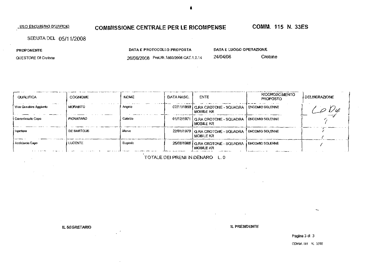#### . USO ESCLUSfVO D'UFFICIO.

# COMMISSIONE CENTRALE PER LE RICOMPENSE COMM. 115 N. 33ES

SEDUTA DEL 05/11/2008

PROPONENTE

QUESTORE DI Crotone

26/06/2008 Prot-Nr. 1803/2008 GAT.1.2.14

DATA E PROTOCOLLO PROPOSTA

PATA E LUOGO OPERAZIONE

24/04/06 Crotone

| QUALIFICA                | <b>COGNOME</b>     | <b>NOME</b> | DATA NASC | <b>ENTE</b>                                                               | <b>RICONOSCIMENTO</b><br><b>PROPOSTO</b> | <b>DELIBERAZIONE</b> |
|--------------------------|--------------------|-------------|-----------|---------------------------------------------------------------------------|------------------------------------------|----------------------|
| i Vice Questore Acolunto | <b>MORABITO</b>    | Angelo      |           | 07/11/1969   Q.RA CROTONE - SQUADRA   ENCOMIO SOLENNE<br>MOBILE KR        |                                          |                      |
| i Commissario Capo       | <b>PIGNATARO</b>   | Cataldo     |           | 01/12/1971 Q.RA CROTONE - SQUADRA ENCOMIO SOLENNE<br>I MOBILE KR          |                                          |                      |
| <b>Ispettore</b>         | <b>DE BARTOLIS</b> | Marco       |           | 22/01/1979   Q.RA CROTONE - SQUADRA   ENCOMIO SOLENNE<br>I MOBILE KR      |                                          |                      |
| l Assisiente Capo<br>.   | <b>LUCENTE</b>     | Eugenio     |           | 25/08/1968   Q.RA CROTONE - SQUADRA   ENCOMID SOLENNE<br><b>MOBILE KR</b> | The company would be a company of the    |                      |

TOTALE DEI PREMI IN DENARO L. 0

IL SEGRETARIO IL PRESIDENTE

Pagina 3 di 3

COMM. II5 N. 33ES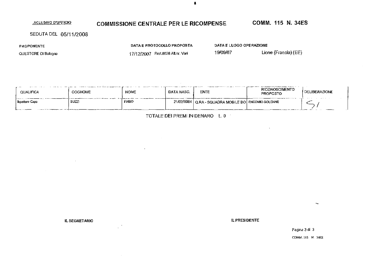#### .SGLUSIVO D'OFFICIO

# COMMISSIONE CENTRALE PER LE RICOMPENSE COMM. 115 N. 34ES

SEDUTA DEL 05/11/2008

PROPONENTE

QUESTORE DI Bologna

DATA E PROTOCOUO PROPOSTA 17/12/2007 [ProI.8028Allnr.Van](http://ProI.8028Allnr.Van)

DATA E LUOGO OPERAZIONE

19/09/07 Lione (Francia) (EE)

| <br>QUALIFICA          | COGNONE | NOME         | DATA NASC | <b>ENTE</b>                                             | <b>RICONOSCIMENTO</b><br><b>PROPOSTO</b> | <b>I DELIBERAZIONE</b> |
|------------------------|---------|--------------|-----------|---------------------------------------------------------|------------------------------------------|------------------------|
| <b>I</b> spetione Capo | SUZZ    | <b>FABIO</b> |           | 21/02/1964   Q.RA - SQUADRA MOBILE BO   ENCOMIO SOLENNE |                                          |                        |

TOTALE DEI PREMI IN DENARO L. 0

IL SEGRETARIO IL PRESIDENTE E ANNO 1999 IL PRESIDENTE ANNO 1999 IL PRESIDENTE E ANNO 1999 IL PRESIDENTE ANNO 1

Pagina 3 di 3 COMM. 115 N. 34ES

 $\blacksquare$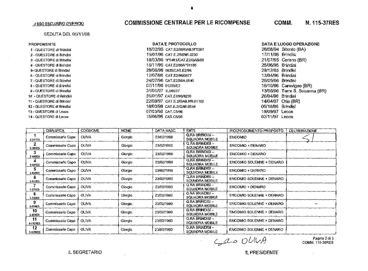#### SEDUTA DEL 05/11/08

#### PROPONENTE

 $\sim$   $\sim$ 

| 1 - OUESTORE di Brindisi  |
|---------------------------|
| 2 - QUESTORE di Brindisi  |
| 3 - QUESTORE di Brindisi  |
| 4 - QUESTORE di Brindisi  |
| 5- QUESTORE di Brindisi   |
| 6 - OUESTORE di Brindisi  |
| 7 - OUESTORE di Brindisi  |
| 8 - OUESTORE di Brindisi  |
| 9 - OUESTORE di Brindisi  |
| 10 - OUESTORE di Brindisi |
| 11 - OUESTORE di Brindisi |
| 12 - OUESTORE di Brindisi |
| 13 - QUESTORE di Lecce    |
| 14 - OUESTORE di Lecce    |

# 2050 ESCLUSIVO D'UFFICIO COMMISSIONE CENTRALE PER LE RICOMPENSE COMM. N. 115-37RES

| <b>DATA E PROTOCOLLO</b>      |
|-------------------------------|
| 18/02/95 CAT.E2/95/GAB.N°0391 |
| 15/01/96 CAT.E.2/96NR.0230    |
| 18/03/96 N°0481/CAT.E2/GAB/96 |
| 15/11/95 CATE2/95N°01185      |
| 28/06/96 0835/CAT.E2/96       |
| 12/07/96 CAT.E2/96/0977       |
| 24/07/96 CAT.E2/96N.0940      |
| 07/11/96 01255/E2             |
| 31/01/97 E2/0237              |
| 31/01/97 CAT.E2/96/0236       |
| 22/09/97 CAT.F.2/GAB.NR.01100 |
| 18/03/98 CAT.E.2/GAB,0544     |
| 07/03/98 CAT.C5/98            |
| 15/06/98 CAT.C5/98            |

| DATA E LUOGO OPERAZIONE |                       |  |  |  |  |  |
|-------------------------|-----------------------|--|--|--|--|--|
| 26/08/94                | Bitonto (BA)          |  |  |  |  |  |
| 17/11/95                | <b>Brindisi</b>       |  |  |  |  |  |
| 21/07/95                | Cerano (BR)           |  |  |  |  |  |
| 25/06/95                | Brindisi              |  |  |  |  |  |
| 29/12/95                | Brindisi              |  |  |  |  |  |
| 13/04/96                | Brindisi              |  |  |  |  |  |
| 26/05/96                | Brindisi              |  |  |  |  |  |
| 16/10/96                | Carovigno (BR)        |  |  |  |  |  |
| 13/06/96                | Torre S. Susanna (BR) |  |  |  |  |  |
| 26/04/96                | Brindisi              |  |  |  |  |  |
| 14/04/97                | Oria (BR)             |  |  |  |  |  |
| 05/10/96                | Brindisi              |  |  |  |  |  |
| 19/09/97                | Lecce                 |  |  |  |  |  |
| 02/11/97                | Lecce                 |  |  |  |  |  |

|                | <b>QUALIFICA</b> | <b>COGNOME</b> | <b>NOME</b> | DATA NASC. | <b>ENTE</b>                              | RICONOSCIMENTO PROPOSTO         | DELIBERAZIONE                           |
|----------------|------------------|----------------|-------------|------------|------------------------------------------|---------------------------------|-----------------------------------------|
| 1.<br>2-241ES  | Commissario Capo | <b>OLIVA</b>   | Giorgio     | 23/02/1960 | QRA BRINDISI-<br>SQUADRA MOBILE          | <b>ENCOMIO</b>                  |                                         |
| 2<br>2-JB1ES   | Commissario Capo | <b>OLIVA</b>   | Glorgio     | 23/02/1960 | Q.RA BRINDISI -<br><b>SQUADRA MOBILE</b> | ENCOMIO + DENARO                |                                         |
| 3<br>2-446ES   | Commissario Capo | <b>OLIVA</b>   | Giorgia     | 23/02/1960 | Q.RA BRINDISI -<br>SQUADRA MOBILE        | <b>ENCOMIO + DENARO</b>         |                                         |
| 4<br>2-481ES   | Commissario Capo | <b>OLIVA</b>   | Giorgio     | 23/02/1960 | Q.RA BRINDISI -<br>SQUADRA MOBILE        | <b>ENCOMIO SOLEMNE + DENARO</b> |                                         |
| 5.<br>3-65SES  | Commissario Capo | <b>OLIVA</b>   | Glorgia     | 23/02/1950 | Q.RA BRINDISI -<br>SOUADRA MOBILE        | ENCOMIO + DENARO                |                                         |
| 6<br>3-613ES   | Commissario Capo | OLIVA          | Glorgio     | 23/02/1960 | Q.RA BRINDISI-<br>SQUADRA MOBILE         | <b>ENCOMIO SOLENNE + DENARO</b> |                                         |
| 3-675ES        | Commissario Capo | <b>OLIVA</b>   | Giorgio     | 23/02/1960 | Q.RA BRINOISI-<br>SQUADRA MOBILE         | ENCOMIO + DENARO                |                                         |
| 8<br>3-746ES   | Commissario Capo | OLIVA          | Giorgio     | 23/02/1960 | Q.RA BRINDISI-<br>SQUADRA MOBILE         | ENCOMIO SOLENNE + OENARO        |                                         |
| 9<br>3-861ES   | Commissario Capo | <b>OLIVA</b>   | Giornio     | 23/02/1960 | Q.RA BRINDISI-<br>SQUADRA MOBILE         | <b>ENCOMIO SOLENNE + DENARO</b> |                                         |
| 10<br>3-864ES  | Commissario Capo | <b>OLIVA</b>   | Glorgio     | 23/02/1960 | Q.RA BRINDISI-<br><b>SQUADRA MOBILE</b>  | <b>ENCOMIO SOLENNE + DENARO</b> |                                         |
| 11<br>4-1121ES | Commissario Cano | <b>OLIVA</b>   | Giorgio     | 23/02/1960 | Q.RA BRINDISI -<br>SQUADRA MOBILE        | <b>ENCOMIO SOLENNE + DENARO</b> |                                         |
| 12<br>5-129BES | Commissario Capo | OLIVA          | Giorgio     | 23/02/1960 | <b>Q.RA BRINDISI -</b><br>SQUADRA MOBILE | <b>ENCOMIO SOLENNE + DENARO</b> |                                         |
|                |                  |                |             |            |                                          | $C_{\theta}$ do OlluA           | Pagina 2 di 3<br><b>COMM. 115-36RES</b> |

 $\sim$ 

IL SEGRETARIO **function de la proposition de la proposition de la proposition de la proposition de la proposition de la proposition de la proposition de la proposition de la proposition de la proposition de la proposition**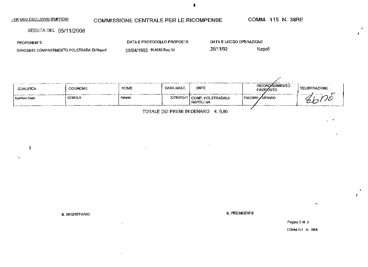| ∕ER USO ESCLUSIVO <u>D'UFFICIO</u>          | COMMISSIONE CENTRALE PER LE RICOMPENSE |                         |        |  |
|---------------------------------------------|----------------------------------------|-------------------------|--------|--|
| SEDUTA DEL 05/11/2008                       |                                        |                         |        |  |
| <b>PROPONENTE</b>                           | DATA E PROTOCOLLO PROPOSTA             | DATA E LUOGO OPERAZIONE |        |  |
| DIRIGENTE COMPARTIMENTO POLSTRADA DI Napoli | 29/04/1993 N.4616 Rep.34               | 26/11/92                | Napoli |  |

|                |                |             |            |                                            |                                          | the company of the company |
|----------------|----------------|-------------|------------|--------------------------------------------|------------------------------------------|----------------------------|
| QUALIFICA      | <b>COGNOME</b> | <b>NOME</b> | DATA NASC. | <b>ENTE</b>                                | <b>RICONOSCIMENTO</b><br><b>PROPOSTO</b> | DELIBERAZIONE              |
| Ispellore Capo | <b>GEBIOLA</b> | Antario     |            | 22/10/1941 COMP POLSTRADALE<br>I NAPOLI NA | ENCOMIO ✔DENARO                          |                            |
|                |                |             |            |                                            |                                          |                            |

 $\mathbf{r}$ 

 $\sim$ 

 $\mathcal{L}$ 

TOTALE DEI PREMI IN DENARO €. 0,00

 $\sim$ 

 $\sim$ 

 $\sim$ 

 $\mathbf{I}$ 

 $\boldsymbol{\cdot}$  ,

IL SEGRETARIO IL PRESIDENTE EN ENTRE SIDENTE EN ENTRE SIDENTE EN ENTRE SIDENTE EN ENTRE SIDENTE EN ENTRE SIDEN

Pagina 2 di 2

COMM. HS N. 38RE

 $\sim 10^{-10}$ 

 $\ddot{\phantom{a}}$  $\mathbf{f}$ 

Ł

 $\mathbf{r}$ 

É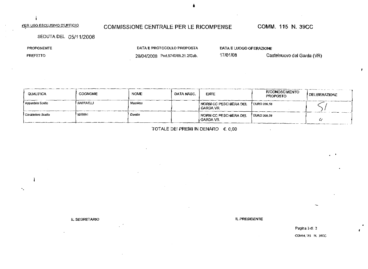$\mathbf{I}$ 

# COMMISSIONE CENTRALE PER LE RICOMPENSE COMM. 115 N. 39CC

SEDUTA DEL 05/11/2008

| <b>PROPONENTE</b> | DATA E PROTOCOLLO PROPOSTA        | DATA E LUOGO OPERAZIONE |                            |
|-------------------|-----------------------------------|-------------------------|----------------------------|
| <b>PREFETTO</b>   | 28/04/2008 Prot.5740/08.21.2/Gab. | 17/01/08                | Castelnuovo del Garda (VR) |

| QUALIFICA          | <b>COGNOME</b> | <b>NOME</b> | DATA NASC. | <b>ENTE</b>                           | RICONOSCIMENTO<br><b>PROPOSTO</b> | <i>I</i> DELIBERAZIONE |
|--------------------|----------------|-------------|------------|---------------------------------------|-----------------------------------|------------------------|
| Appunisto Scelto   | RAFFAELLI      | Massimo     |            | I NORM CC PESCHIERA DEL<br>i GARDA VR | <b>EURO 206.58</b>                |                        |
| Carabiniere Scelto | MARINI         | Davide      |            | I NORM CC PESCHIERA DEL<br>I GARDA VR | / EURO 206.58                     | رے                     |

TOTALE DEI PREMI IN DENARO  $\epsilon$ . 0,00

IL SEGRETARIO **TRANSISTE EN ENCLOSE DE L'ALGUNA DE L'ALGUNA DE L'ALGUNA DE L'ALGUNA DE L'ALGUNA DE L'ALGUNA DE L'ALGUNA DE L'ALGUNA DE L'ALGUNA DE L'ALGUNA DE L'ALGUNA DE L'ALGUNA DE L'ALGUNA DE L'ALGUNA DE L'ALGUNA DE L'A** 

Pagina 3 di 3 COMM, 115 N. 39CC  $\mathbf{r}$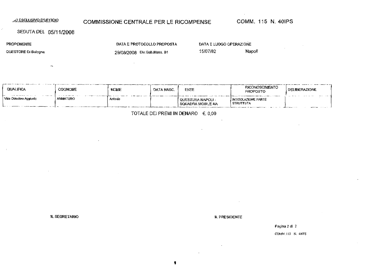# ^0 ESCLUSIVO D'UFFICIO **COMMISSIONE CENTRALE PER LE RICOMPENSE COMM. 115 N. 40IPS**

DATA E PROTOCOLLO PROPOSTA

### SEDUTA **DEL** 05/11/2008

 $\rightarrow$ 

PROPONENTE

QUESTORE Ol Bologna

29/08/2008 Div.Gab.Mass. S1

 $\bar{\mathcal{A}}$ 

DATA E LUOGO OPERAZIONE

15/07/82 Napoli

| QUALIFICA<br>$- - - - - -$ | COGNOME  | <b>NOME</b> | DATA NASC. | ENTE                                                                               | <b>RICONOSCIMENTO</b><br><b>PROPOSTO</b>                 | <b>DELIBERAZIONE</b> |
|----------------------------|----------|-------------|------------|------------------------------------------------------------------------------------|----------------------------------------------------------|----------------------|
| Vice Questore Aggiunto     | AMMATURO | Antonio     |            | ! QUESTURA NAPOLI -<br>I SQUADRA MOBILE NA<br>- <del>- - - - - - - - -</del> - - - | INTITOLAZIONE PARTE<br>  STRUTTUTA<br>__________________ | _____                |

#### TOTALE DEI PREMI IN DENARO  $\in$  0,00

IL SEGRETARIO IL PRESIDENTE

Pagina 2 di 2

COMM. I 15 N. 49IPS